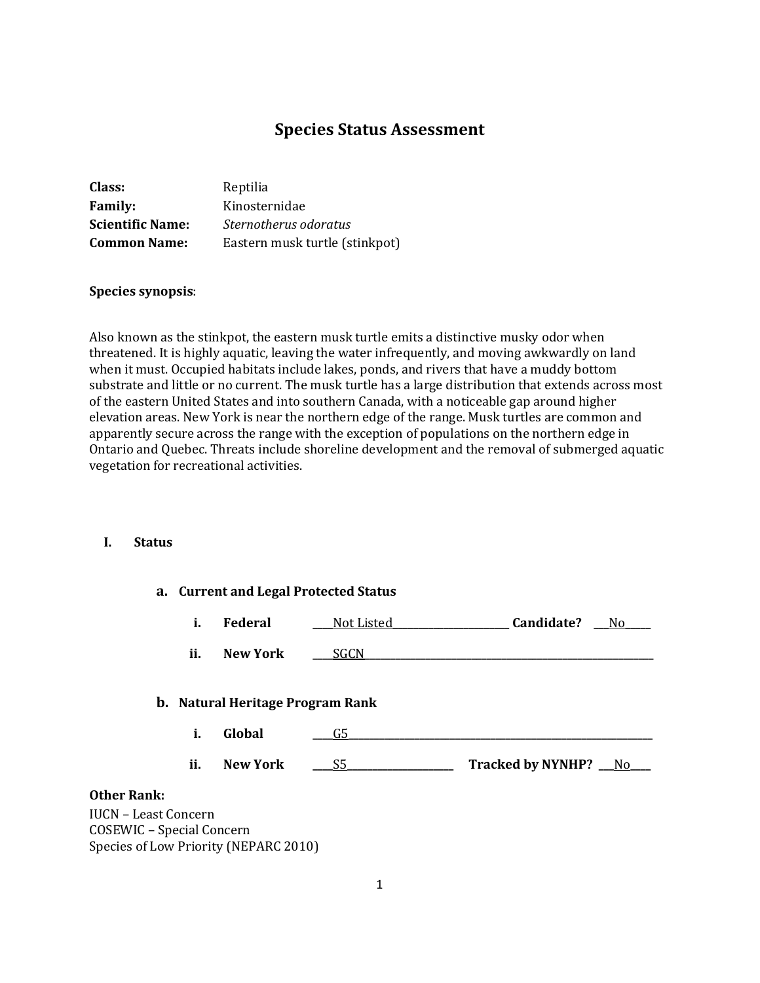# **Species Status Assessment**

| Class:                  | Reptilia                       |
|-------------------------|--------------------------------|
| <b>Family:</b>          | Kinosternidae                  |
| <b>Scientific Name:</b> | Sternotherus odoratus          |
| <b>Common Name:</b>     | Eastern musk turtle (stinkpot) |

#### **Species synopsis**:

Also known as the stinkpot, the eastern musk turtle emits a distinctive musky odor when threatened. It is highly aquatic, leaving the water infrequently, and moving awkwardly on land when it must. Occupied habitats include lakes, ponds, and rivers that have a muddy bottom substrate and little or no current. The musk turtle has a large distribution that extends across most of the eastern United States and into southern Canada, with a noticeable gap around higher elevation areas. New York is near the northern edge of the range. Musk turtles are common and apparently secure across the range with the exception of populations on the northern edge in Ontario and Quebec. Threats include shoreline development and the removal of submerged aquatic vegetation for recreational activities.

#### **I. Status**

|                                                          |     |                                         | a. Current and Legal Protected Status |                      |
|----------------------------------------------------------|-----|-----------------------------------------|---------------------------------------|----------------------|
|                                                          | i.  | Federal                                 | Not Listed                            | Candidate?<br>_No_   |
|                                                          | ii. | <b>New York</b>                         | <b>SGCN</b>                           |                      |
|                                                          |     | <b>b.</b> Natural Heritage Program Rank |                                       |                      |
|                                                          | i.  | Global                                  | G5                                    |                      |
|                                                          | ii. | <b>New York</b>                         | S5                                    | Tracked by NYNHP? No |
| <b>Other Rank:</b>                                       |     |                                         |                                       |                      |
| <b>IUCN - Least Concern</b><br>COSEWIC - Special Concern |     | Species of Low Priority (NEPARC 2010)   |                                       |                      |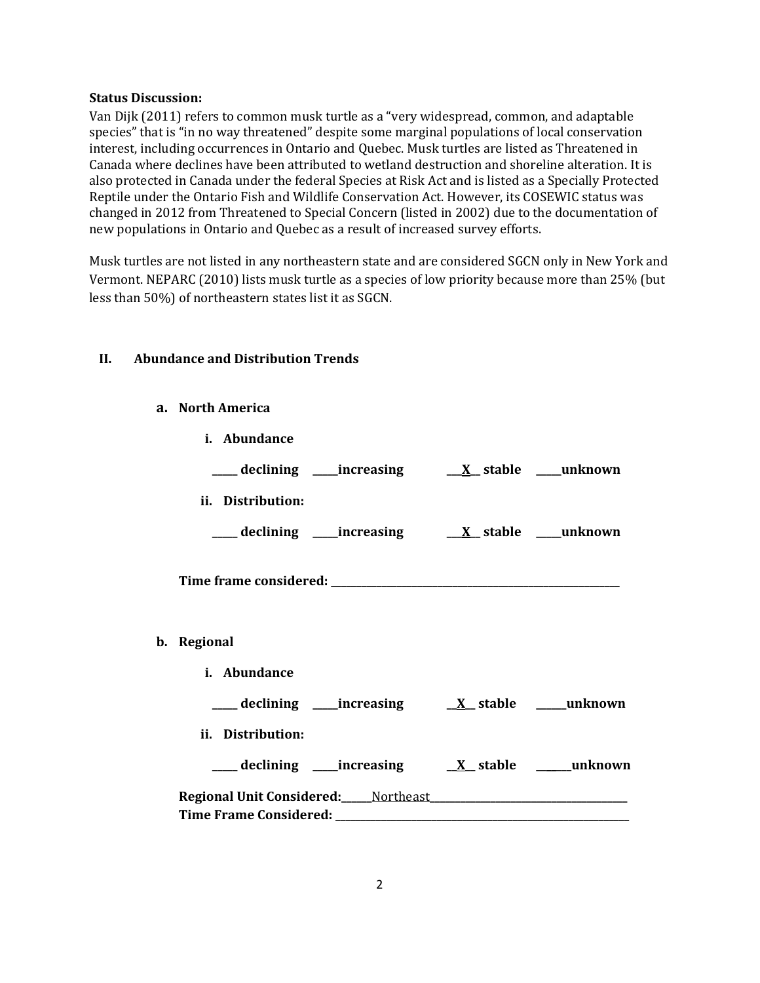#### **Status Discussion:**

Van Dijk (2011) refers to common musk turtle as a "very widespread, common, and adaptable species" that is "in no way threatened" despite some marginal populations of local conservation interest, including occurrences in Ontario and Quebec. Musk turtles are listed as Threatened in Canada where declines have been attributed to wetland destruction and shoreline alteration. It is also protected in Canada under the federal Species at Risk Act and is listed as a Specially Protected Reptile under the Ontario Fish and Wildlife Conservation Act. However, its COSEWIC status was changed in 2012 from Threatened to Special Concern (listed in 2002) due to the documentation of new populations in Ontario and Quebec as a result of increased survey efforts.

Musk turtles are not listed in any northeastern state and are considered SGCN only in New York and Vermont. NEPARC (2010) lists musk turtle as a species of low priority because more than 25% (but less than 50%) of northeastern states list it as SGCN.

# **II. Abundance and Distribution Trends**

#### **a. North America**

| i. Abundance                                                                                                   |                                                            |  |
|----------------------------------------------------------------------------------------------------------------|------------------------------------------------------------|--|
|                                                                                                                |                                                            |  |
| ii. Distribution:                                                                                              |                                                            |  |
|                                                                                                                | ___declining ___increasing ___ <u>X</u> _stable ___unknown |  |
|                                                                                                                |                                                            |  |
| b. Regional                                                                                                    |                                                            |  |
| i. Abundance                                                                                                   |                                                            |  |
|                                                                                                                |                                                            |  |
| ii. Distribution:                                                                                              |                                                            |  |
|                                                                                                                |                                                            |  |
| Regional Unit Considered: Northeast Manual Manual Manual Manual Manual Manual Manual Manual Manual Manual Manu |                                                            |  |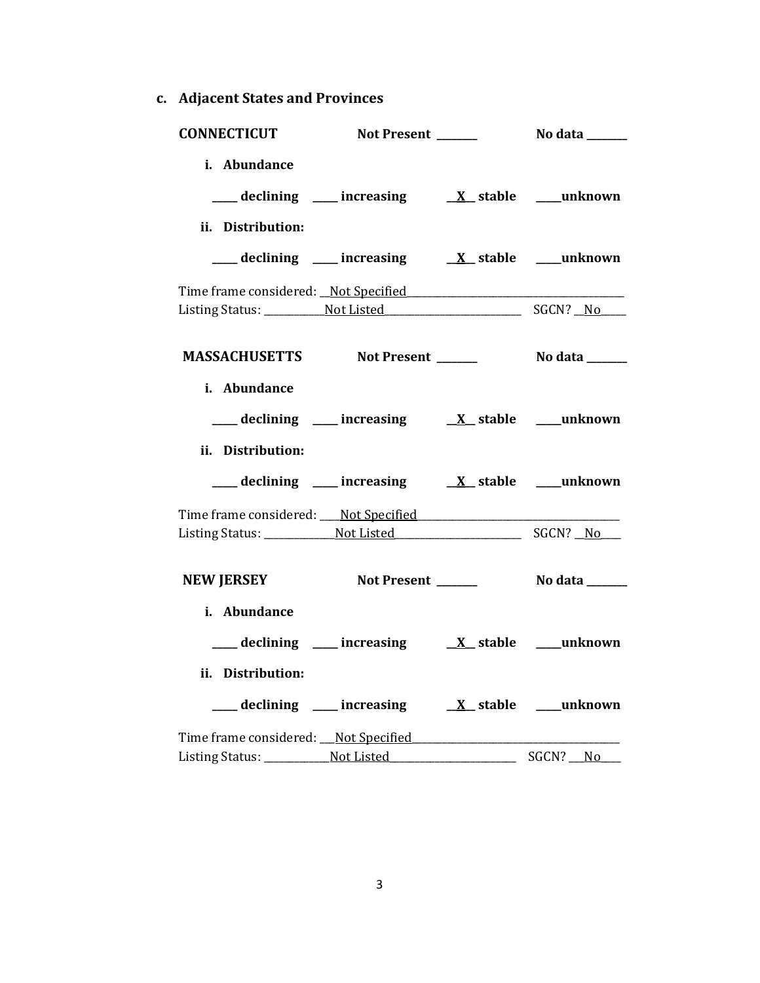**c. Adjacent States and Provinces**

| <b>CONNECTICUT</b>                             | Not Present ______                                                                                                                      | No data _______       |
|------------------------------------------------|-----------------------------------------------------------------------------------------------------------------------------------------|-----------------------|
| i. Abundance                                   |                                                                                                                                         |                       |
|                                                | $\frac{1}{\sqrt{1-x^2}}$ declining $\frac{1}{\sqrt{1-x^2}}$ increasing $\frac{1}{\sqrt{1-x^2}}$ stable $\frac{1}{\sqrt{1-x^2}}$ unknown |                       |
| ii. Distribution:                              |                                                                                                                                         |                       |
|                                                |                                                                                                                                         |                       |
|                                                |                                                                                                                                         |                       |
|                                                |                                                                                                                                         |                       |
| MASSACHUSETTS Not Present ______               |                                                                                                                                         | <b>No data</b> ______ |
|                                                |                                                                                                                                         |                       |
| i. Abundance                                   |                                                                                                                                         |                       |
|                                                | $\frac{1}{\sqrt{1-x^2}}$ declining $\frac{1}{\sqrt{1-x^2}}$ increasing $\frac{1}{\sqrt{1-x^2}}$ stable $\frac{1}{\sqrt{1-x^2}}$ unknown |                       |
| ii. Distribution:                              |                                                                                                                                         |                       |
|                                                | ___ declining ___ increasing ___ X_ stable ___ unknown                                                                                  |                       |
|                                                |                                                                                                                                         |                       |
|                                                |                                                                                                                                         |                       |
| NEW JERSEY Not Present ________ No data ______ |                                                                                                                                         |                       |
|                                                |                                                                                                                                         |                       |
| i. Abundance                                   |                                                                                                                                         |                       |
|                                                | $\frac{1}{\sqrt{1-x^2}}$ declining $\frac{1}{\sqrt{1-x^2}}$ increasing $\frac{1}{\sqrt{1-x^2}}$ stable $\frac{1}{\sqrt{1-x^2}}$ unknown |                       |
| ii. Distribution:                              |                                                                                                                                         |                       |
|                                                |                                                                                                                                         |                       |
|                                                |                                                                                                                                         |                       |
| Listing Status: Not Listed                     |                                                                                                                                         | SGCN? No              |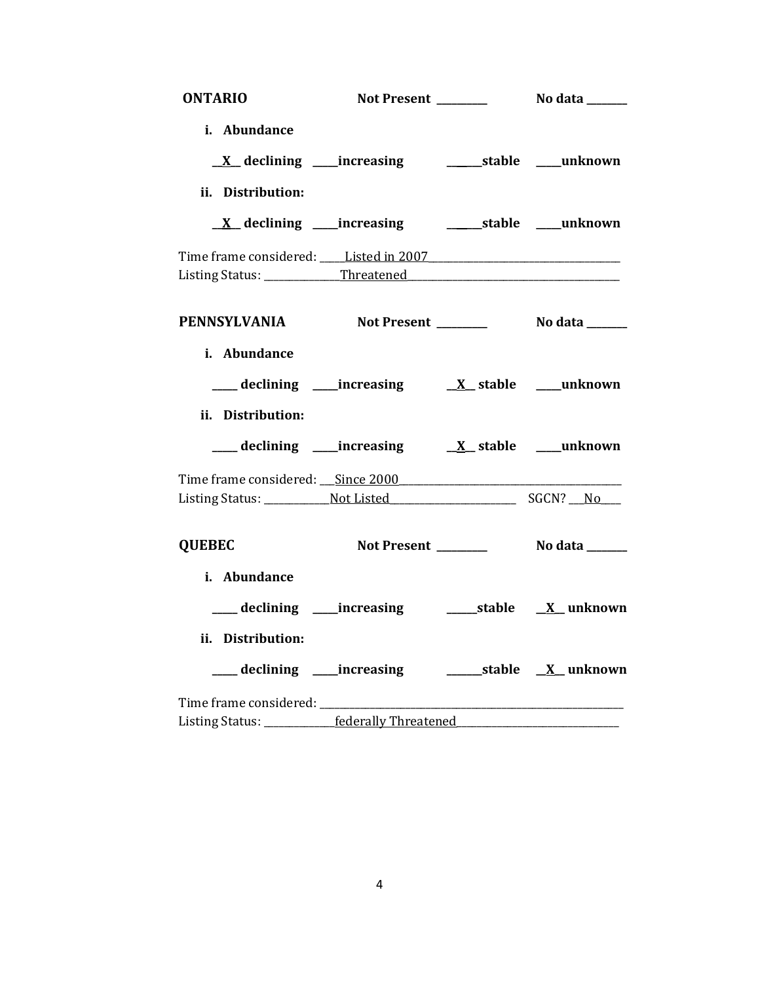| <b>ONTARIO</b>                                                                   |                                                                       |  |
|----------------------------------------------------------------------------------|-----------------------------------------------------------------------|--|
| i. Abundance                                                                     |                                                                       |  |
|                                                                                  | <u>X</u> declining ____increasing _____________stable ____unknown     |  |
| ii. Distribution:                                                                |                                                                       |  |
|                                                                                  | <u>X</u> declining ____increasing ___________stable ____unknown       |  |
| Time frame considered: Listed in 2007 [11] [2007]                                |                                                                       |  |
|                                                                                  |                                                                       |  |
|                                                                                  |                                                                       |  |
| i. Abundance                                                                     |                                                                       |  |
|                                                                                  | ___ declining ____ increasing ____ __ ___ ___ ___ ___ ___ ___ unknown |  |
| ii. Distribution:                                                                |                                                                       |  |
|                                                                                  |                                                                       |  |
| Time frame considered: ___ Since 2000                                            |                                                                       |  |
|                                                                                  |                                                                       |  |
| <b>QUEBEC</b>                                                                    |                                                                       |  |
| i. Abundance                                                                     |                                                                       |  |
|                                                                                  |                                                                       |  |
| ii. Distribution:                                                                |                                                                       |  |
|                                                                                  |                                                                       |  |
|                                                                                  |                                                                       |  |
| Listing Status: __________federally Threatened__________________________________ |                                                                       |  |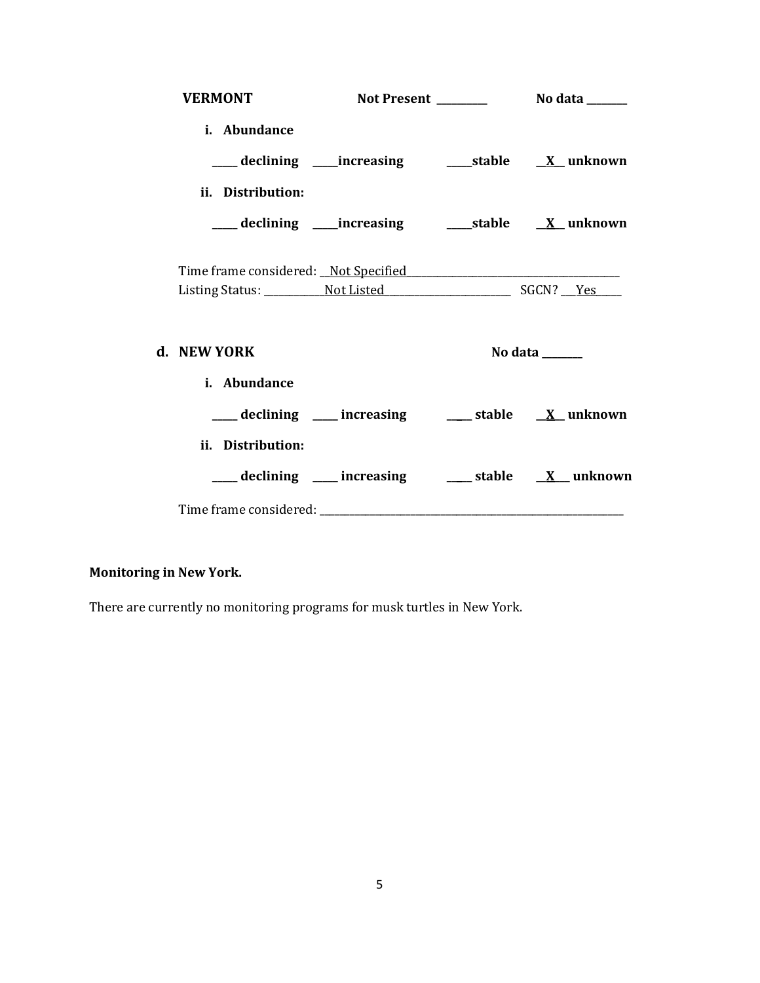| <b>VERMONT</b>    |  |                                                                          |
|-------------------|--|--------------------------------------------------------------------------|
| i. Abundance      |  |                                                                          |
|                   |  | ___ declining ____increasing _____________stable ____ <u>X</u> __unknown |
| ii. Distribution: |  |                                                                          |
|                   |  | ___declining ___increasing _____stable __ <u>X</u> _unknown              |
|                   |  |                                                                          |
|                   |  |                                                                          |
| d. NEW YORK       |  | No data ______                                                           |
| i. Abundance      |  |                                                                          |
|                   |  | ___ declining ___ increasing ___ stable __ X_unknown                     |
| ii. Distribution: |  |                                                                          |
|                   |  | ___ declining ___ increasing ___ stable __ X__ unknown                   |
|                   |  |                                                                          |

# **Monitoring in New York.**

There are currently no monitoring programs for musk turtles in New York.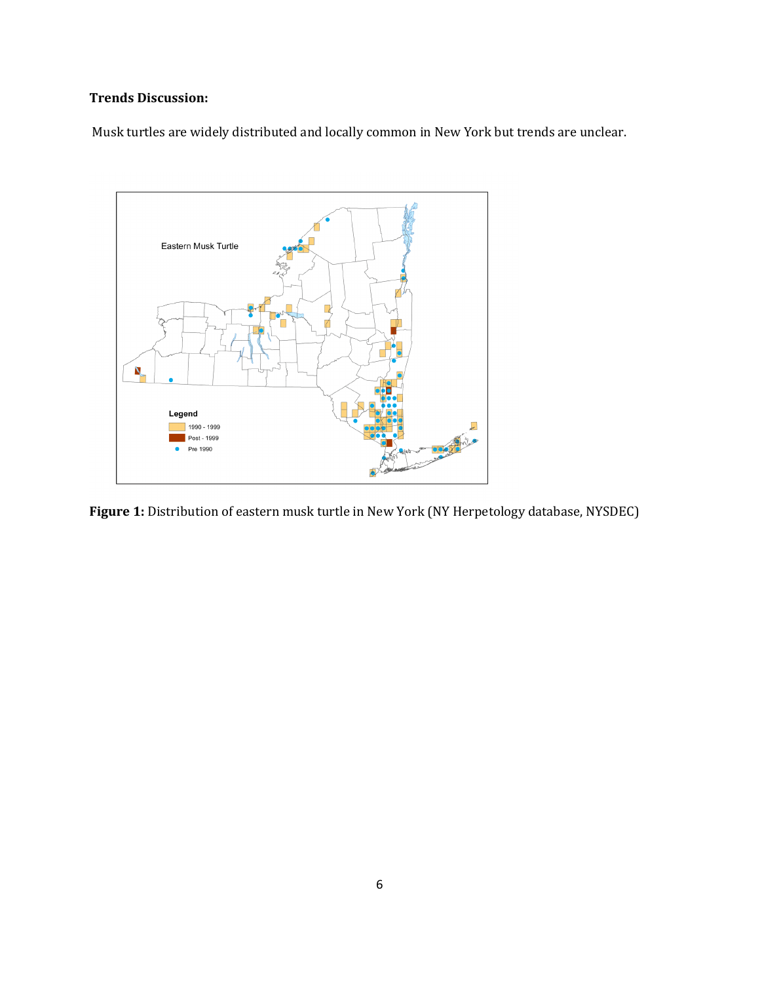# **Trends Discussion:**

Musk turtles are widely distributed and locally common in New York but trends are unclear.



**Figure 1:** Distribution of eastern musk turtle in New York (NY Herpetology database, NYSDEC)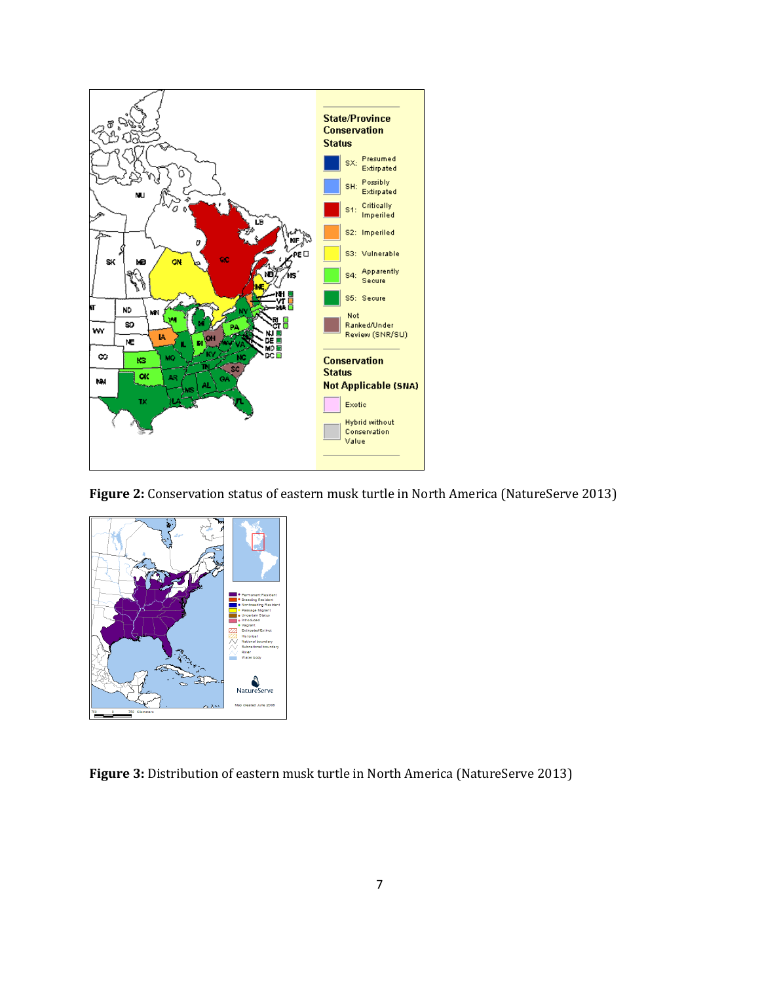

**Figure 2:** Conservation status of eastern musk turtle in North America (NatureServe 2013)



**Figure 3:** Distribution of eastern musk turtle in North America (NatureServe 2013)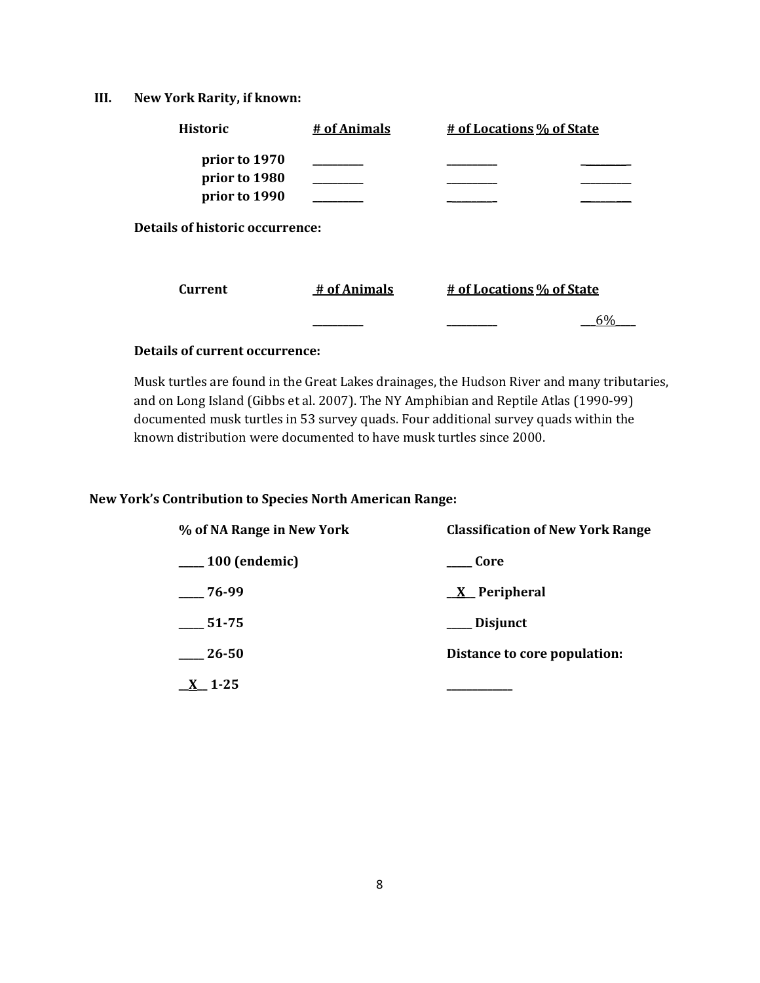**III. New York Rarity, if known:**

| <b>Historic</b>                                 | # of Animals | # of Locations % of State |
|-------------------------------------------------|--------------|---------------------------|
| prior to 1970<br>prior to 1980<br>prior to 1990 |              |                           |
| <b>Details of historic occurrence:</b>          |              |                           |
| Current                                         | # of Animals | # of Locations % of State |
|                                                 |              | 6%                        |

# **Details of current occurrence:**

Musk turtles are found in the Great Lakes drainages, the Hudson River and many tributaries, and on Long Island (Gibbs et al. 2007). The NY Amphibian and Reptile Atlas (1990-99) documented musk turtles in 53 survey quads. Four additional survey quads within the known distribution were documented to have musk turtles since 2000.

### **New York's Contribution to Species North American Range:**

| % of NA Range in New York | <b>Classification of New York Range</b> |  |
|---------------------------|-----------------------------------------|--|
| $\frac{100}{2}$ (endemic) | ___ Core                                |  |
| $-76-99$                  | $X$ Peripheral                          |  |
| 51-75                     | ___ Disjunct                            |  |
| 26-50                     | Distance to core population:            |  |
| $\underline{X}$ 1-25      |                                         |  |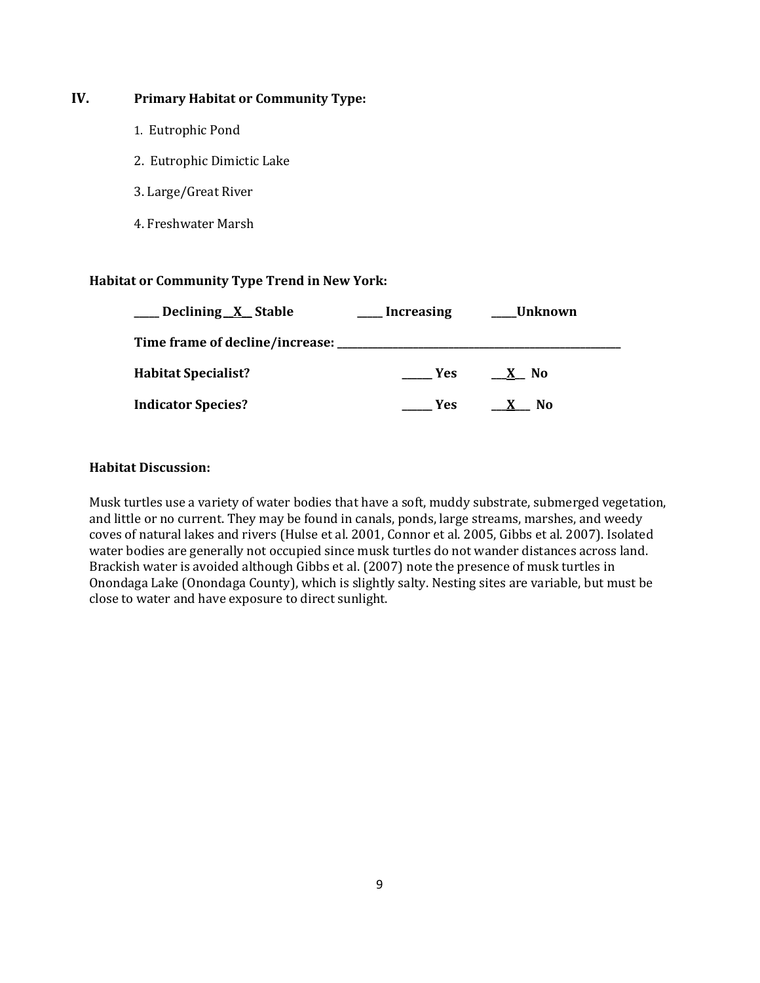# **IV. Primary Habitat or Community Type:**

- 1. Eutrophic Pond
- 2. Eutrophic Dimictic Lake
- 3. Large/Great River
- 4. Freshwater Marsh

#### **Habitat or Community Type Trend in New York:**

| Declining X Stable         | <b>Increasing</b> | Unknown |
|----------------------------|-------------------|---------|
|                            |                   |         |
| <b>Habitat Specialist?</b> | Yes               | X No    |
| <b>Indicator Species?</b>  | Yes.              | No      |

#### **Habitat Discussion:**

Musk turtles use a variety of water bodies that have a soft, muddy substrate, submerged vegetation, and little or no current. They may be found in canals, ponds, large streams, marshes, and weedy coves of natural lakes and rivers (Hulse et al. 2001, Connor et al. 2005, Gibbs et al. 2007). Isolated water bodies are generally not occupied since musk turtles do not wander distances across land. Brackish water is avoided although Gibbs et al. (2007) note the presence of musk turtles in Onondaga Lake (Onondaga County), which is slightly salty. Nesting sites are variable, but must be close to water and have exposure to direct sunlight.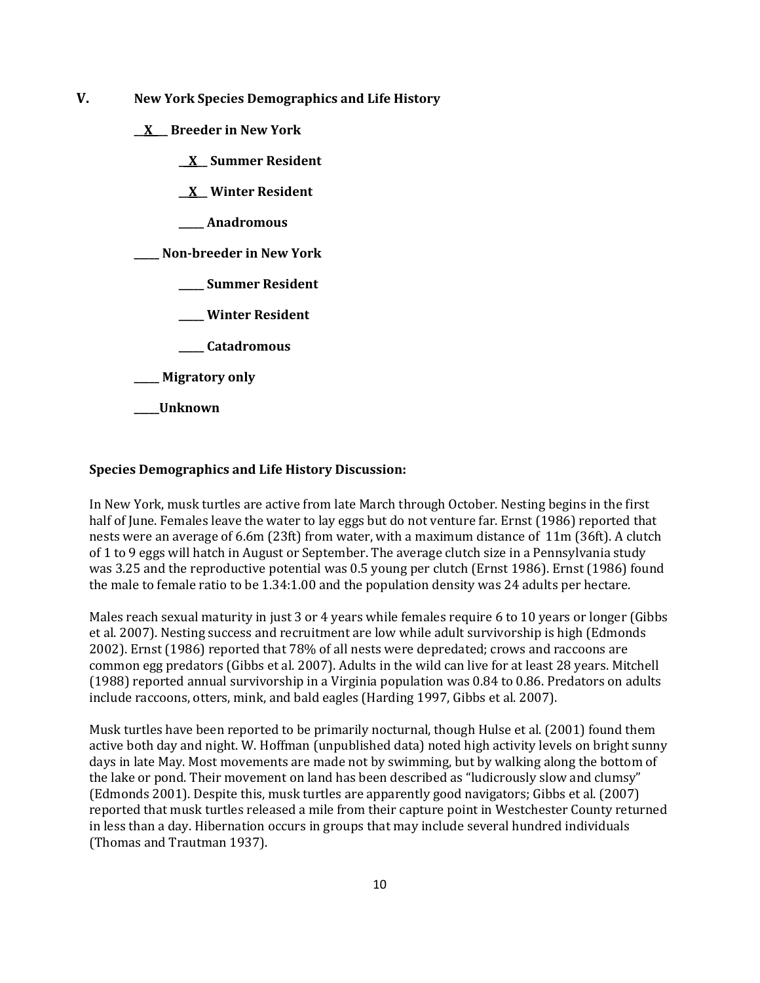- **V. New York Species Demographics and Life History**
	- **\_\_X\_\_\_ Breeder in New York**
		- **\_\_X\_\_ Summer Resident**
		- **\_\_X\_\_ Winter Resident**
		- **\_\_\_\_\_ Anadromous**

**\_\_\_\_\_ Non-breeder in New York**

- **\_\_\_\_\_ Summer Resident**
- **\_\_\_\_\_ Winter Resident**
- **\_\_\_\_\_ Catadromous**
- **\_\_\_\_\_ Migratory only**
- **\_\_\_\_\_Unknown**

#### **Species Demographics and Life History Discussion:**

In New York, musk turtles are active from late March through October. Nesting begins in the first half of June. Females leave the water to lay eggs but do not venture far. Ernst (1986) reported that nests were an average of 6.6m (23ft) from water, with a maximum distance of 11m (36ft). A clutch of 1 to 9 eggs will hatch in August or September. The average clutch size in a Pennsylvania study was 3.25 and the reproductive potential was 0.5 young per clutch (Ernst 1986). Ernst (1986) found the male to female ratio to be 1.34:1.00 and the population density was 24 adults per hectare.

Males reach sexual maturity in just 3 or 4 years while females require 6 to 10 years or longer (Gibbs et al. 2007). Nesting success and recruitment are low while adult survivorship is high (Edmonds 2002). Ernst (1986) reported that 78% of all nests were depredated; crows and raccoons are common egg predators (Gibbs et al. 2007). Adults in the wild can live for at least 28 years. Mitchell (1988) reported annual survivorship in a Virginia population was 0.84 to 0.86. Predators on adults include raccoons, otters, mink, and bald eagles (Harding 1997, Gibbs et al. 2007).

Musk turtles have been reported to be primarily nocturnal, though Hulse et al. (2001) found them active both day and night. W. Hoffman (unpublished data) noted high activity levels on bright sunny days in late May. Most movements are made not by swimming, but by walking along the bottom of the lake or pond. Their movement on land has been described as "ludicrously slow and clumsy" (Edmonds 2001). Despite this, musk turtles are apparently good navigators; Gibbs et al. (2007) reported that musk turtles released a mile from their capture point in Westchester County returned in less than a day. Hibernation occurs in groups that may include several hundred individuals (Thomas and Trautman 1937).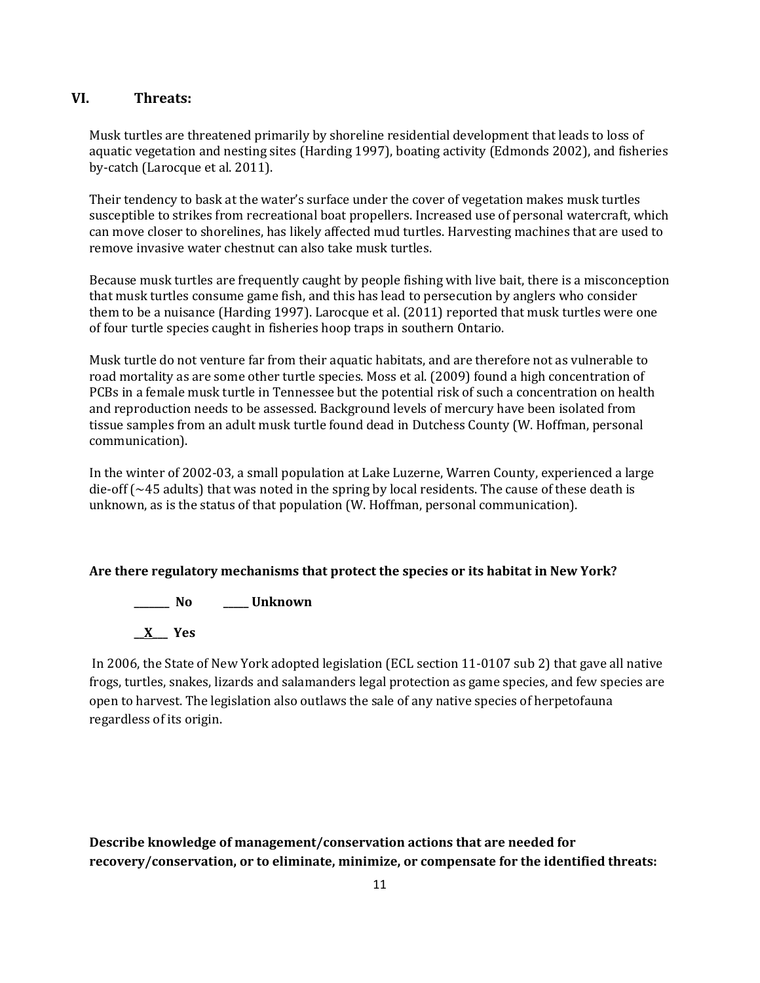# **VI. Threats:**

Musk turtles are threatened primarily by shoreline residential development that leads to loss of aquatic vegetation and nesting sites (Harding 1997), boating activity (Edmonds 2002), and fisheries by-catch (Larocque et al. 2011).

Their tendency to bask at the water's surface under the cover of vegetation makes musk turtles susceptible to strikes from recreational boat propellers. Increased use of personal watercraft, which can move closer to shorelines, has likely affected mud turtles. Harvesting machines that are used to remove invasive water chestnut can also take musk turtles.

Because musk turtles are frequently caught by people fishing with live bait, there is a misconception that musk turtles consume game fish, and this has lead to persecution by anglers who consider them to be a nuisance (Harding 1997). Larocque et al. (2011) reported that musk turtles were one of four turtle species caught in fisheries hoop traps in southern Ontario.

Musk turtle do not venture far from their aquatic habitats, and are therefore not as vulnerable to road mortality as are some other turtle species. Moss et al. (2009) found a high concentration of PCBs in a female musk turtle in Tennessee but the potential risk of such a concentration on health and reproduction needs to be assessed. Background levels of mercury have been isolated from tissue samples from an adult musk turtle found dead in Dutchess County (W. Hoffman, personal communication).

In the winter of 2002-03, a small population at Lake Luzerne, Warren County, experienced a large die-off  $\sim$ 45 adults) that was noted in the spring by local residents. The cause of these death is unknown, as is the status of that population (W. Hoffman, personal communication).

# **Are there regulatory mechanisms that protect the species or its habitat in New York?**

**\_\_\_\_\_\_\_ No \_\_\_\_\_ Unknown \_\_X\_\_\_ Yes** 

In 2006, the State of New York adopted legislation (ECL section 11-0107 sub 2) that gave all native frogs, turtles, snakes, lizards and salamanders legal protection as game species, and few species are open to harvest. The legislation also outlaws the sale of any native species of herpetofauna regardless of its origin.

**Describe knowledge of management/conservation actions that are needed for recovery/conservation, or to eliminate, minimize, or compensate for the identified threats:**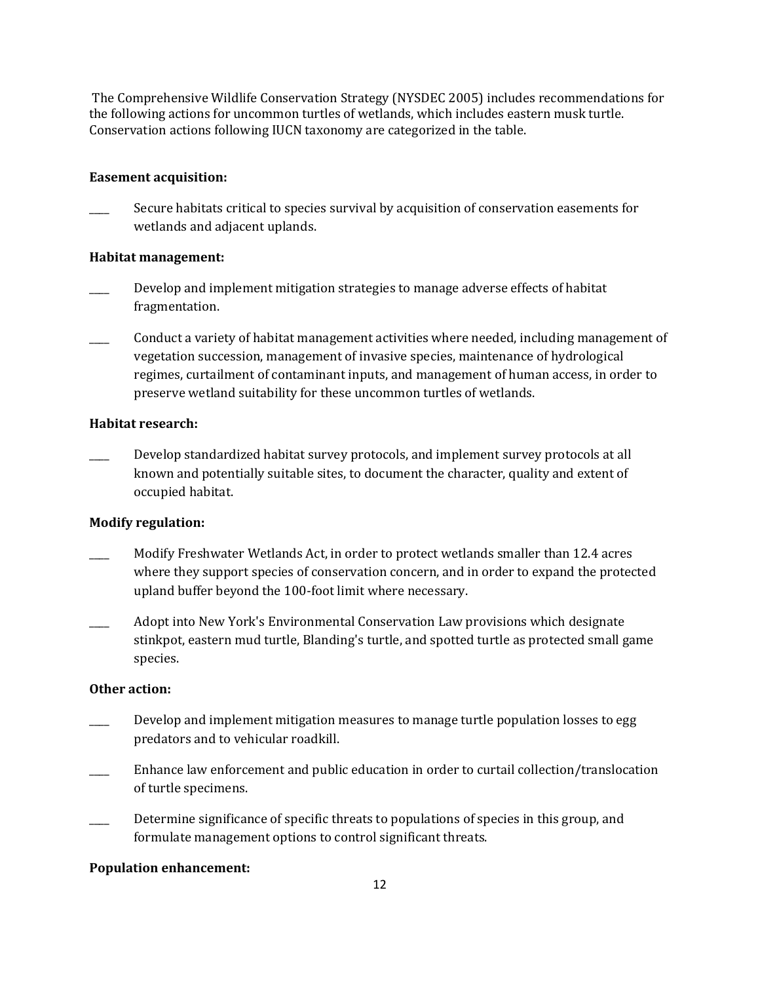The Comprehensive Wildlife Conservation Strategy (NYSDEC 2005) includes recommendations for the following actions for uncommon turtles of wetlands, which includes eastern musk turtle. Conservation actions following IUCN taxonomy are categorized in the table.

#### **Easement acquisition:**

Secure habitats critical to species survival by acquisition of conservation easements for wetlands and adjacent uplands.

#### **Habitat management:**

- \_\_\_\_ Develop and implement mitigation strategies to manage adverse effects of habitat fragmentation.
- \_\_\_\_ Conduct a variety of habitat management activities where needed, including management of vegetation succession, management of invasive species, maintenance of hydrological regimes, curtailment of contaminant inputs, and management of human access, in order to preserve wetland suitability for these uncommon turtles of wetlands.

#### **Habitat research:**

\_\_\_\_ Develop standardized habitat survey protocols, and implement survey protocols at all known and potentially suitable sites, to document the character, quality and extent of occupied habitat.

#### **Modify regulation:**

- \_\_\_\_ Modify Freshwater Wetlands Act, in order to protect wetlands smaller than 12.4 acres where they support species of conservation concern, and in order to expand the protected upland buffer beyond the 100-foot limit where necessary.
- \_\_\_\_ Adopt into New York's Environmental Conservation Law provisions which designate stinkpot, eastern mud turtle, Blanding's turtle, and spotted turtle as protected small game species.

#### **Other action:**

- Develop and implement mitigation measures to manage turtle population losses to egg predators and to vehicular roadkill.
- \_\_\_\_ Enhance law enforcement and public education in order to curtail collection/translocation of turtle specimens.
- Determine significance of specific threats to populations of species in this group, and formulate management options to control significant threats.

#### **Population enhancement:**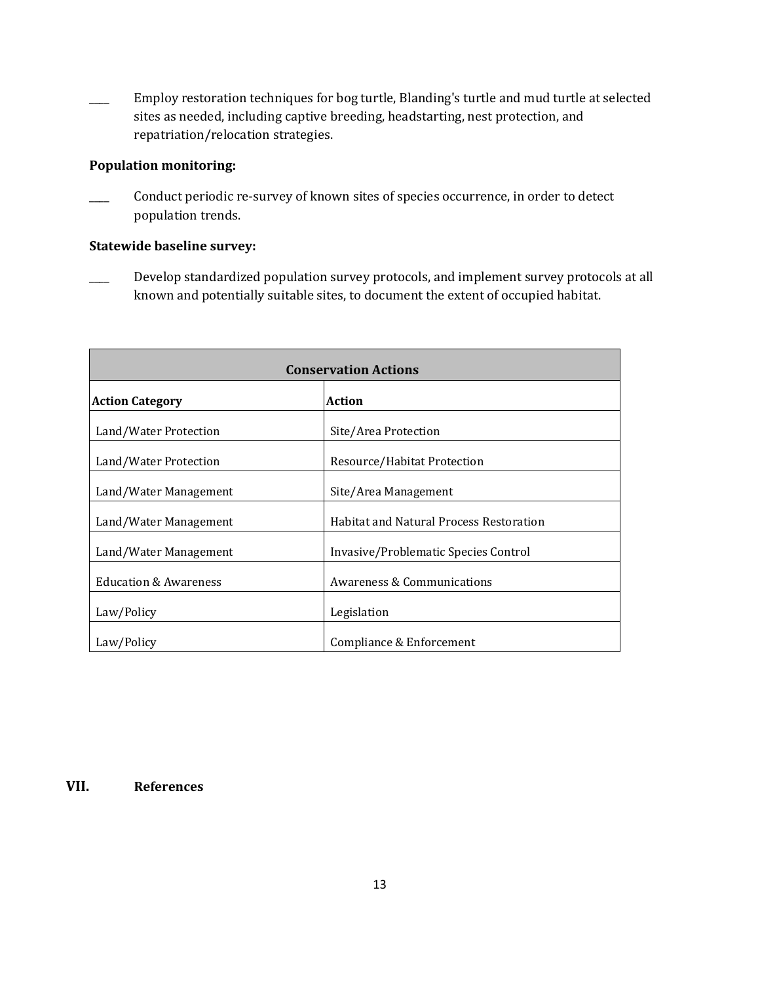Employ restoration techniques for bog turtle, Blanding's turtle and mud turtle at selected sites as needed, including captive breeding, headstarting, nest protection, and repatriation/relocation strategies.

# **Population monitoring:**

Conduct periodic re-survey of known sites of species occurrence, in order to detect population trends.

# **Statewide baseline survey:**

Develop standardized population survey protocols, and implement survey protocols at all known and potentially suitable sites, to document the extent of occupied habitat.

| <b>Conservation Actions</b>      |                                                |  |
|----------------------------------|------------------------------------------------|--|
| <b>Action Category</b>           | <b>Action</b>                                  |  |
| Land/Water Protection            | Site/Area Protection                           |  |
| Land/Water Protection            | Resource/Habitat Protection                    |  |
| Land/Water Management            | Site/Area Management                           |  |
| Land/Water Management            | <b>Habitat and Natural Process Restoration</b> |  |
| Land/Water Management            | Invasive/Problematic Species Control           |  |
| <b>Education &amp; Awareness</b> | <b>Awareness &amp; Communications</b>          |  |
| Law/Policy                       | Legislation                                    |  |
| Law/Policy                       | Compliance & Enforcement                       |  |

**VII. References**